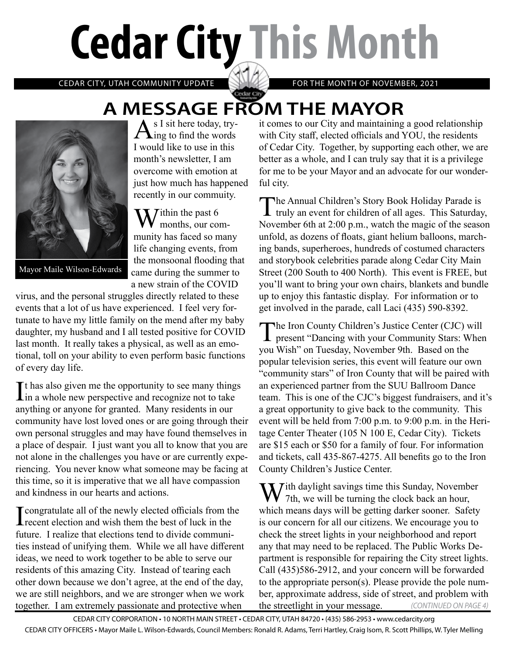# **Cedar City This Month**

CEDAR CITY, UTAH COMMUNITY UPDATE FOR THE MONTH OF NOVEMBER, 2021

## **A MESSAGE FROM THE MAYOR**<br>A s I sit here today, try-<br>it comes to our City and maintaining



Mayor Maile Wilson-Edwards

 $A<sub>ing to find the words</sub>$ I would like to use in this month's newsletter, I am overcome with emotion at just how much has happened recently in our commuity.

 $\sum$  *T* ithin the past 6 months, our community has faced so many life changing events, from the monsoonal flooding that came during the summer to a new strain of the COVID

virus, and the personal struggles directly related to these events that a lot of us have experienced. I feel very fortunate to have my little family on the mend after my baby daughter, my husband and I all tested positive for COVID last month. It really takes a physical, as well as an emotional, toll on your ability to even perform basic functions of every day life.

 $\prod$ t has also given me the opportunity to see many things<br>in a whole new perspective and recognize not to take in a whole new perspective and recognize not to take anything or anyone for granted. Many residents in our community have lost loved ones or are going through their own personal struggles and may have found themselves in a place of despair. I just want you all to know that you are not alone in the challenges you have or are currently experiencing. You never know what someone may be facing at this time, so it is imperative that we all have compassion and kindness in our hearts and actions.

I congratulate all of the newly elected officials from the recent election and wish them the best of luck in the future. I realize that elections tend to divide communities instead of unifying them. While we all have different ideas, we need to work together to be able to serve our residents of this amazing City. Instead of tearing each other down because we don't agree, at the end of the day, we are still neighbors, and we are stronger when we work together. I am extremely passionate and protective when

it comes to our City and maintaining a good relationship with City staff, elected officials and YOU, the residents of Cedar City. Together, by supporting each other, we are better as a whole, and I can truly say that it is a privilege for me to be your Mayor and an advocate for our wonderful city.

The Annual Children's Story Book Holiday Parade is truly an event for children of all ages. This Saturday, November 6th at 2:00 p.m., watch the magic of the season unfold, as dozens of floats, giant helium balloons, marching bands, superheroes, hundreds of costumed characters and storybook celebrities parade along Cedar City Main Street (200 South to 400 North). This event is FREE, but you'll want to bring your own chairs, blankets and bundle up to enjoy this fantastic display. For information or to get involved in the parade, call Laci (435) 590-8392.

The Iron County Children's Justice Center (CJC) will<br>present "Dancing with your Community Stars: When<br>With the Stars: When you Wish" on Tuesday, November 9th. Based on the popular television series, this event will feature our own "community stars" of Iron County that will be paired with an experienced partner from the SUU Ballroom Dance team. This is one of the CJC's biggest fundraisers, and it's a great opportunity to give back to the community. This event will be held from 7:00 p.m. to 9:00 p.m. in the Heritage Center Theater (105 N 100 E, Cedar City). Tickets are \$15 each or \$50 for a family of four. For information and tickets, call 435-867-4275. All benefits go to the Iron County Children's Justice Center.

*(CONTINUED ON PAGE 4)*  $\sum$  *T* ith daylight savings time this Sunday, November  $\bf{V}$  7th, we will be turning the clock back an hour, which means days will be getting darker sooner. Safety is our concern for all our citizens. We encourage you to check the street lights in your neighborhood and report any that may need to be replaced. The Public Works Department is responsible for repairing the City street lights. Call (435)586-2912, and your concern will be forwarded to the appropriate person(s). Please provide the pole number, approximate address, side of street, and problem with the streetlight in your message.

CEDAR CITY CORPORATION • 10 NORTH MAIN STREET • CEDAR CITY, UTAH 84720 • (435) 586-2953 • www.cedarcity.org CEDAR CITY OFFICERS • Mayor Maile L. Wilson-Edwards, Council Members: Ronald R. Adams, Terri Hartley, Craig Isom, R. Scott Phillips, W. Tyler Melling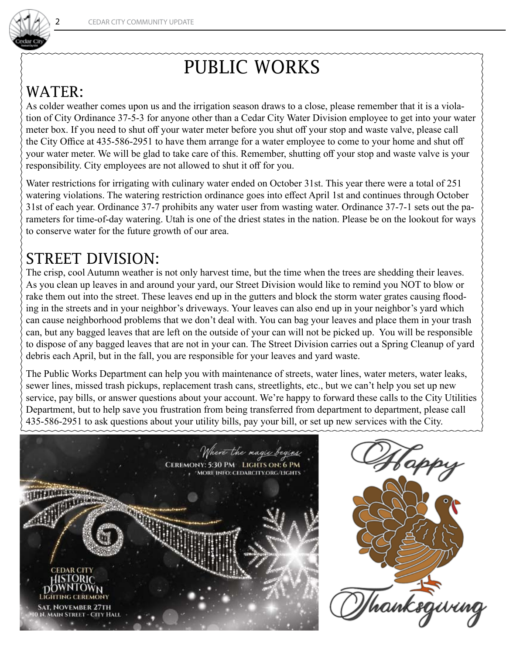

### PUBLIC WORKS

#### WATER:

As colder weather comes upon us and the irrigation season draws to a close, please remember that it is a violation of City Ordinance 37-5-3 for anyone other than a Cedar City Water Division employee to get into your water meter box. If you need to shut off your water meter before you shut off your stop and waste valve, please call the City Office at 435-586-2951 to have them arrange for a water employee to come to your home and shut off your water meter. We will be glad to take care of this. Remember, shutting off your stop and waste valve is your responsibility. City employees are not allowed to shut it off for you.

Water restrictions for irrigating with culinary water ended on October 31st. This year there were a total of 251 watering violations. The watering restriction ordinance goes into effect April 1st and continues through October 31st of each year. Ordinance 37-7 prohibits any water user from wasting water. Ordinance 37-7-1 sets out the parameters for time-of-day watering. Utah is one of the driest states in the nation. Please be on the lookout for ways to conserve water for the future growth of our area.

#### STREET DIVISION:

The crisp, cool Autumn weather is not only harvest time, but the time when the trees are shedding their leaves. As you clean up leaves in and around your yard, our Street Division would like to remind you NOT to blow or rake them out into the street. These leaves end up in the gutters and block the storm water grates causing flooding in the streets and in your neighbor's driveways. Your leaves can also end up in your neighbor's yard which can cause neighborhood problems that we don't deal with. You can bag your leaves and place them in your trash can, but any bagged leaves that are left on the outside of your can will not be picked up. You will be responsible to dispose of any bagged leaves that are not in your can. The Street Division carries out a Spring Cleanup of yard debris each April, but in the fall, you are responsible for your leaves and yard waste.

The Public Works Department can help you with maintenance of streets, water lines, water meters, water leaks, sewer lines, missed trash pickups, replacement trash cans, streetlights, etc., but we can't help you set up new service, pay bills, or answer questions about your account. We're happy to forward these calls to the City Utilities Department, but to help save you frustration from being transferred from department to department, please call 435-586-2951 to ask questions about your utility bills, pay your bill, or set up new services with the City.



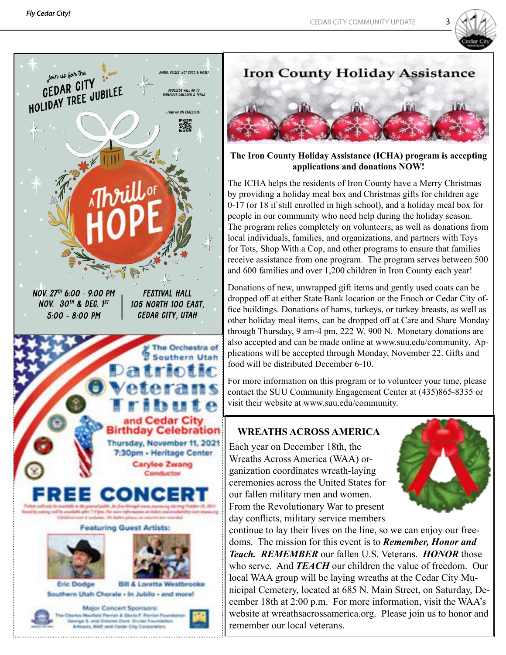





**The Iron County Holiday Assistance (ICHA) program is accepting applications and donations NOW!**

The ICHA helps the residents of Iron County have a Merry Christmas by providing a holiday meal box and Christmas gifts for children age 0-17 (or 18 if still enrolled in high school), and a holiday meal box for people in our community who need help during the holiday season. The program relies completely on volunteers, as well as donations from local individuals, families, and organizations, and partners with Toys for Tots, Shop With a Cop, and other programs to ensure that families receive assistance from one program. The program serves between 500 and 600 families and over 1,200 children in Iron County each year!

Donations of new, unwrapped gift items and gently used coats can be dropped off at either State Bank location or the Enoch or Cedar City office buildings. Donations of hams, turkeys, or turkey breasts, as well as other holiday meal items, can be dropped off at Care and Share Monday through Thursday, 9 am-4 pm, 222 W. 900 N. Monetary donations are also accepted and can be made online at www.suu.edu/community. Applications will be accepted through Monday, November 22. Gifts and food will be distributed December 6-10.

For more information on this program or to volunteer your time, please contact the SUU Community Engagement Center at (435)865-8335 or visit their website at www.suu.edu/community.

#### **WREATHS ACROSS AMERICA**

Each year on December 18th, the Wreaths Across America (WAA) organization coordinates wreath-laying ceremonies across the United States for our fallen military men and women. From the Revolutionary War to present day conflicts, military service members



continue to lay their lives on the line, so we can enjoy our freedoms. The mission for this event is to *Remember, Honor and Teach. REMEMBER* our fallen U.S. Veterans. *HONOR* those who serve. And *TEACH* our children the value of freedom. Our local WAA group will be laying wreaths at the Cedar City Municipal Cemetery, located at 685 N. Main Street, on Saturday, December 18th at 2:00 p.m. For more information, visit the WAA's website at wreathsacrossamerica.org. Please join us to honor and remember our local veterans.